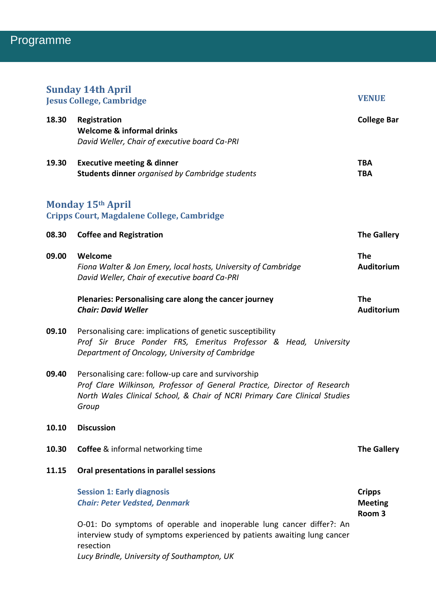| <b>Sunday 14th April</b><br><b>Jesus College, Cambridge</b>            |                                                                                                                                                                                                                         | <b>VENUE</b>                                         |
|------------------------------------------------------------------------|-------------------------------------------------------------------------------------------------------------------------------------------------------------------------------------------------------------------------|------------------------------------------------------|
| 18.30                                                                  | Registration<br><b>Welcome &amp; informal drinks</b><br>David Weller, Chair of executive board Ca-PRI                                                                                                                   | <b>College Bar</b>                                   |
| 19.30                                                                  | <b>Executive meeting &amp; dinner</b><br><b>Students dinner</b> organised by Cambridge students                                                                                                                         | <b>TBA</b><br><b>TBA</b>                             |
| <b>Monday 15th April</b><br>Cripps Court, Magdalene College, Cambridge |                                                                                                                                                                                                                         |                                                      |
| 08.30                                                                  | <b>Coffee and Registration</b>                                                                                                                                                                                          | <b>The Gallery</b>                                   |
| 09.00                                                                  | Welcome<br>Fiona Walter & Jon Emery, local hosts, University of Cambridge<br>David Weller, Chair of executive board Ca-PRI                                                                                              | <b>The</b><br>Auditorium                             |
|                                                                        | Plenaries: Personalising care along the cancer journey<br><b>Chair: David Weller</b>                                                                                                                                    | <b>The</b><br>Auditorium                             |
| 09.10                                                                  | Personalising care: implications of genetic susceptibility<br>Prof Sir Bruce Ponder FRS, Emeritus Professor & Head, University<br>Department of Oncology, University of Cambridge                                       |                                                      |
| 09.40                                                                  | Personalising care: follow-up care and survivorship<br>Prof Clare Wilkinson, Professor of General Practice, Director of Research<br>North Wales Clinical School, & Chair of NCRI Primary Care Clinical Studies<br>Group |                                                      |
| 10.10                                                                  | <b>Discussion</b>                                                                                                                                                                                                       |                                                      |
| 10.30                                                                  | <b>Coffee</b> & informal networking time                                                                                                                                                                                | <b>The Gallery</b>                                   |
| 11.15                                                                  | Oral presentations in parallel sessions                                                                                                                                                                                 |                                                      |
|                                                                        | <b>Session 1: Early diagnosis</b><br><b>Chair: Peter Vedsted, Denmark</b>                                                                                                                                               | <b>Cripps</b><br><b>Meeting</b><br>Room <sub>3</sub> |
|                                                                        | O-01: Do symptoms of operable and inoperable lung cancer differ?: An<br>interview study of symptoms experienced by patients awaiting lung cancer<br>resection<br>Lucy Brindle, University of Southampton, UK            |                                                      |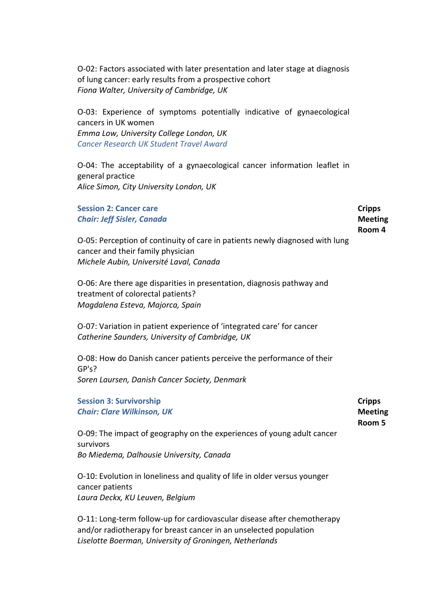O-02: Factors associated with later presentation and later stage at diagnosis of lung cancer: early results from a prospective cohort *Fiona Walter, University of Cambridge, UK*

O-03: Experience of symptoms potentially indicative of gynaecological cancers in UK women *Emma Low, University College London, UK Cancer Research UK Student Travel Award*

O-04: The acceptability of a gynaecological cancer information leaflet in general practice *Alice Simon, City University London, UK*

| <b>Session 2: Cancer care</b><br><b>Chair: Jeff Sisler, Canada</b>                                                                                           | <b>Cripps</b><br><b>Meeting</b><br>Room 4 |
|--------------------------------------------------------------------------------------------------------------------------------------------------------------|-------------------------------------------|
| O-05: Perception of continuity of care in patients newly diagnosed with lung<br>cancer and their family physician<br>Michele Aubin, Université Laval, Canada |                                           |
| O-06: Are there age disparities in presentation, diagnosis pathway and<br>treatment of colorectal patients?<br>Magdalena Esteva, Majorca, Spain              |                                           |
| O-07: Variation in patient experience of 'integrated care' for cancer<br>Catherine Saunders, University of Cambridge, UK                                     |                                           |
| O-08: How do Danish cancer patients perceive the performance of their<br>GP's?                                                                               |                                           |
| Soren Laursen, Danish Cancer Society, Denmark                                                                                                                |                                           |
| <b>Session 3: Survivorship</b><br><b>Chair: Clare Wilkinson, UK</b>                                                                                          | <b>Cripps</b><br><b>Meeting</b><br>Room 5 |
| O-09: The impact of geography on the experiences of young adult cancer<br>survivors                                                                          |                                           |
| Bo Miedema, Dalhousie University, Canada                                                                                                                     |                                           |
| O-10: Evolution in loneliness and quality of life in older versus younger<br>cancer patients<br>Laura Deckx, KU Leuven, Belgium                              |                                           |
| O-11: Long-term follow-up for cardiovascular disease after chemotherapy<br>and/or radiotherapy for breast cancer in an unselected population                 |                                           |

*Liselotte Boerman, University of Groningen, Netherlands*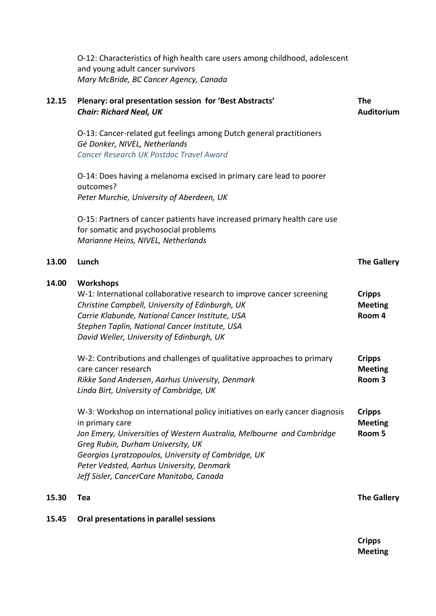O-12: Characteristics of high health care users among childhood, adolescent and young adult cancer survivors *Mary McBride, BC Cancer Agency, Canada*

| 12.15 | Plenary: oral presentation session for 'Best Abstracts'<br><b>Chair: Richard Neal, UK</b>                                                                                                                                                                                                                                                                    | <b>The</b><br>Auditorium                             |
|-------|--------------------------------------------------------------------------------------------------------------------------------------------------------------------------------------------------------------------------------------------------------------------------------------------------------------------------------------------------------------|------------------------------------------------------|
|       | O-13: Cancer-related gut feelings among Dutch general practitioners<br>Gé Donker, NIVEL, Netherlands<br><b>Cancer Research UK Postdoc Travel Award</b>                                                                                                                                                                                                       |                                                      |
|       | O-14: Does having a melanoma excised in primary care lead to poorer<br>outcomes?<br>Peter Murchie, University of Aberdeen, UK                                                                                                                                                                                                                                |                                                      |
|       | O-15: Partners of cancer patients have increased primary health care use<br>for somatic and psychosocial problems<br>Marianne Heins, NIVEL, Netherlands                                                                                                                                                                                                      |                                                      |
| 13.00 | Lunch                                                                                                                                                                                                                                                                                                                                                        | <b>The Gallery</b>                                   |
| 14.00 | <b>Workshops</b><br>W-1: International collaborative research to improve cancer screening<br>Christine Campbell, University of Edinburgh, UK<br>Carrie Klabunde, National Cancer Institute, USA<br>Stephen Taplin, National Cancer Institute, USA<br>David Weller, University of Edinburgh, UK                                                               | <b>Cripps</b><br><b>Meeting</b><br>Room 4            |
|       | W-2: Contributions and challenges of qualitative approaches to primary<br>care cancer research<br>Rikke Sand Andersen, Aarhus University, Denmark<br>Linda Birt, University of Cambridge, UK                                                                                                                                                                 | <b>Cripps</b><br><b>Meeting</b><br>Room <sub>3</sub> |
|       | W-3: Workshop on international policy initiatives on early cancer diagnosis<br>in primary care<br>Jon Emery, Universities of Western Australia, Melbourne and Cambridge<br>Greg Rubin, Durham University, UK<br>Georgios Lyratzopoulos, University of Cambridge, UK<br>Peter Vedsted, Aarhus University, Denmark<br>Jeff Sisler, CancerCare Manitoba, Canada | <b>Cripps</b><br><b>Meeting</b><br>Room 5            |
| 15.30 | Tea                                                                                                                                                                                                                                                                                                                                                          | <b>The Gallery</b>                                   |
| 15.45 | Oral presentations in parallel sessions                                                                                                                                                                                                                                                                                                                      |                                                      |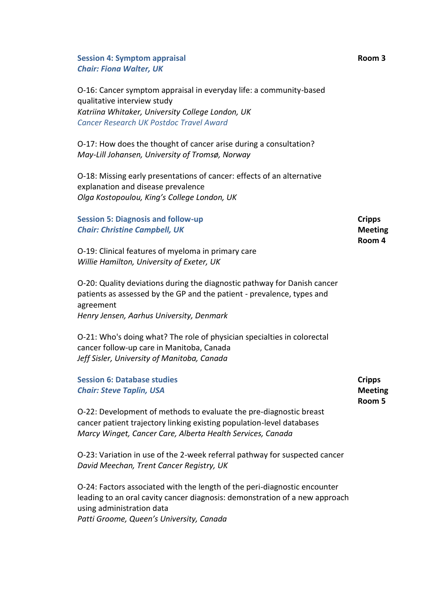**Session 4: Symptom appraisal**  *Chair: Fiona Walter, UK*

O-16: Cancer symptom appraisal in everyday life: a community-based qualitative interview study *Katriina Whitaker, University College London, UK Cancer Research UK Postdoc Travel Award*

O-17: How does the thought of cancer arise during a consultation? *May-Lill Johansen, University of Tromsø, Norway*

O-18: Missing early presentations of cancer: effects of an alternative explanation and disease prevalence *Olga Kostopoulou, King's College London, UK*

**Session 5: Diagnosis and follow-up** *Chair: Christine Campbell, UK* O-19: Clinical features of myeloma in primary care **Cripps Meeting Room 4**

*Willie Hamilton, University of Exeter, UK*

O-20: Quality deviations during the diagnostic pathway for Danish cancer patients as assessed by the GP and the patient - prevalence, types and agreement *Henry Jensen, Aarhus University, Denmark*

O-21: Who's doing what? The role of physician specialties in colorectal cancer follow-up care in Manitoba, Canada *Jeff Sisler, University of Manitoba, Canada* 

| <b>Session 6: Database studies</b>                                    | <b>Cripps</b>  |
|-----------------------------------------------------------------------|----------------|
| <b>Chair: Steve Taplin, USA</b>                                       | <b>Meeting</b> |
|                                                                       | Room 5         |
| O-22: Development of methods to evaluate the pre-diagnostic breast    |                |
| cancer patient trajectory linking existing population-level databases |                |
| Marcy Winget, Cancer Care, Alberta Health Services, Canada            |                |

O-23: Variation in use of the 2-week referral pathway for suspected cancer *David Meechan, Trent Cancer Registry, UK*

O-24: Factors associated with the length of the peri-diagnostic encounter leading to an oral cavity cancer diagnosis: demonstration of a new approach using administration data *Patti Groome, Queen's University, Canada*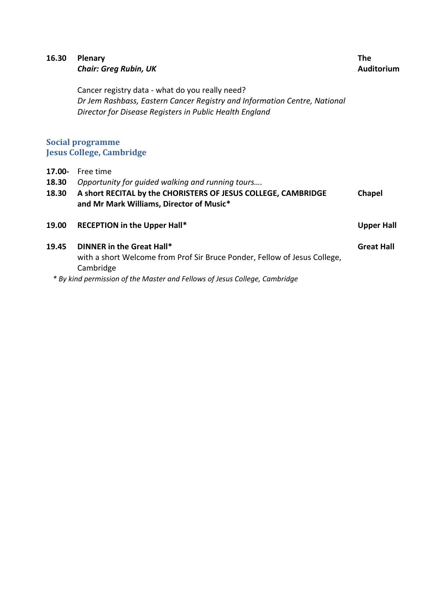| 16.30                    | Plenary<br><b>Chair: Greg Rubin, UK</b>                                                                                                                                                 | <b>The</b><br><b>Auditorium</b> |
|--------------------------|-----------------------------------------------------------------------------------------------------------------------------------------------------------------------------------------|---------------------------------|
|                          | Cancer registry data - what do you really need?<br>Dr Jem Rashbass, Eastern Cancer Registry and Information Centre, National<br>Director for Disease Registers in Public Health England |                                 |
|                          | <b>Social programme</b><br><b>Jesus College, Cambridge</b>                                                                                                                              |                                 |
| 17.00-<br>18.30<br>18.30 | Free time<br>Opportunity for guided walking and running tours<br>A short RECITAL by the CHORISTERS OF JESUS COLLEGE, CAMBRIDGE<br>and Mr Mark Williams, Director of Music*              | <b>Chapel</b>                   |
| 19.00                    | <b>RECEPTION in the Upper Hall*</b>                                                                                                                                                     | <b>Upper Hall</b>               |
| 19.45                    | DINNER in the Great Hall*<br>with a short Welcome from Prof Sir Bruce Ponder, Fellow of Jesus College,<br>Cambridge<br>انتار معانات التقارب المتحدث والمستحدث                           | <b>Great Hall</b>               |

*\* By kind permission of the Master and Fellows of Jesus College, Cambridge*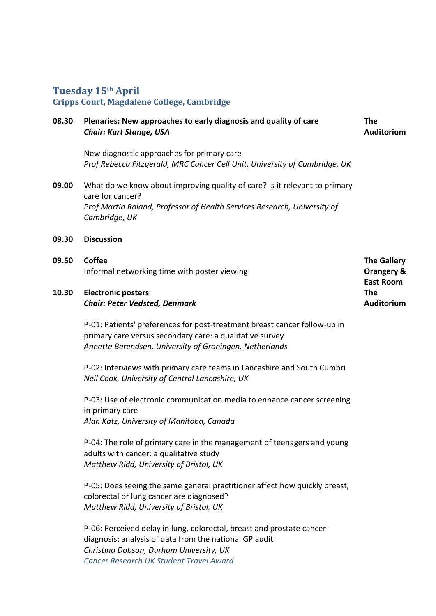# **Tuesday 15th April**

### **Cripps Court, Magdalene College, Cambridge**

#### **08.30 Plenaries: New approaches to early diagnosis and quality of care**  *Chair: Kurt Stange, USA* **The Auditorium**

New diagnostic approaches for primary care *Prof Rebecca Fitzgerald, MRC Cancer Cell Unit, University of Cambridge, UK*

- **09.00**  What do we know about improving quality of care? Is it relevant to primary care for cancer? *Prof Martin Roland, Professor of Health Services Research, University of Cambridge, UK*
- **09.30 Discussion**

| 09.50 | <b>Coffee</b>                                | <b>The Gallery</b> |
|-------|----------------------------------------------|--------------------|
|       | Informal networking time with poster viewing | Orangery &         |
|       |                                              | <b>East Room</b>   |
| 10.30 | <b>Electronic posters</b>                    | <b>The</b>         |
|       | <b>Chair: Peter Vedsted, Denmark</b>         | Auditorium         |

P-01: Patients' preferences for post-treatment breast cancer follow-up in primary care versus secondary care: a qualitative survey *Annette Berendsen, University of Groningen, Netherlands*

P-02: Interviews with primary care teams in Lancashire and South Cumbri *Neil Cook, University of Central Lancashire, UK*

P-03: Use of electronic communication media to enhance cancer screening in primary care *Alan Katz, University of Manitoba, Canada*

P-04: The role of primary care in the management of teenagers and young adults with cancer: a qualitative study *Matthew Ridd, University of Bristol, UK*

P-05: Does seeing the same general practitioner affect how quickly breast, colorectal or lung cancer are diagnosed? *Matthew Ridd, University of Bristol, UK*

P-06: Perceived delay in lung, colorectal, breast and prostate cancer diagnosis: analysis of data from the national GP audit *Christina Dobson, Durham University, UK Cancer Research UK Student Travel Award*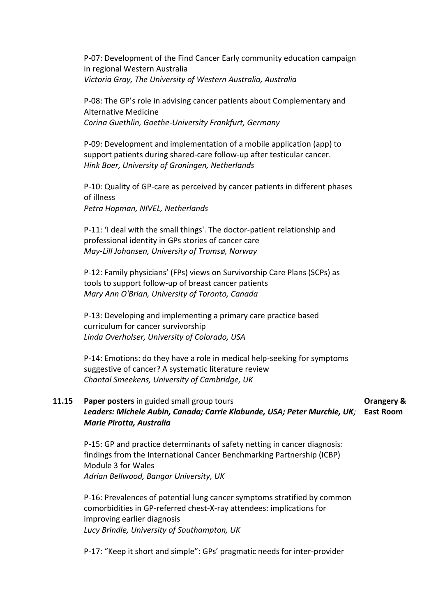P-07: Development of the Find Cancer Early community education campaign in regional Western Australia *Victoria Gray, The University of Western Australia, Australia*

P-08: The GP's role in advising cancer patients about Complementary and Alternative Medicine *Corina Guethlin, Goethe-University Frankfurt, Germany*

P-09: Development and implementation of a mobile application (app) to support patients during shared-care follow-up after testicular cancer. *Hink Boer, University of Groningen, Netherlands*

P-10: Quality of GP-care as perceived by cancer patients in different phases of illness *Petra Hopman, NIVEL, Netherlands*

P-11: 'I deal with the small things'. The doctor-patient relationship and professional identity in GPs stories of cancer care *May-Lill Johansen, University of Tromsø, Norway*

P-12: Family physicians' (FPs) views on Survivorship Care Plans (SCPs) as tools to support follow-up of breast cancer patients *Mary Ann O'Brian, University of Toronto, Canada*

P-13: Developing and implementing a primary care practice based curriculum for cancer survivorship *Linda Overholser, University of Colorado, USA*

P-14: Emotions: do they have a role in medical help-seeking for symptoms suggestive of cancer? A systematic literature review *Chantal Smeekens, University of Cambridge, UK*

### **11.15 Paper posters** in guided small group tours *Leaders: Michele Aubin, Canada; Carrie Klabunde, USA; Peter Murchie, UK;*  **East Room***Marie Pirotta, Australia* **Orangery &**

P-15: GP and practice determinants of safety netting in cancer diagnosis: findings from the International Cancer Benchmarking Partnership (ICBP) Module 3 for Wales *Adrian Bellwood, Bangor University, UK*

P-16: Prevalences of potential lung cancer symptoms stratified by common comorbidities in GP-referred chest-X-ray attendees: implications for improving earlier diagnosis *Lucy Brindle, University of Southampton, UK*

P-17: "Keep it short and simple": GPs' pragmatic needs for inter-provider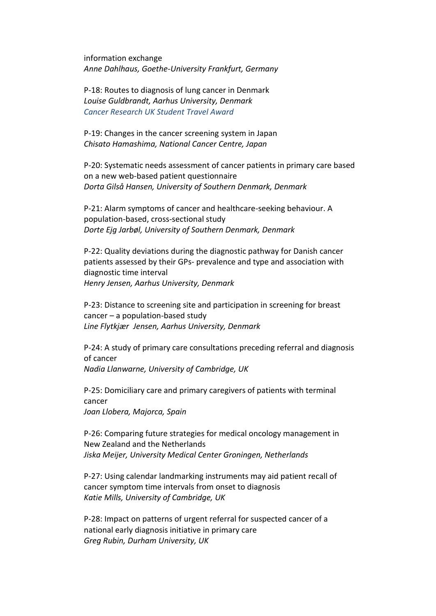information exchange *Anne Dahlhaus, Goethe-University Frankfurt, Germany*

P-18: Routes to diagnosis of lung cancer in Denmark *Louise Guldbrandt, Aarhus University, Denmark Cancer Research UK Student Travel Award*

P-19: Changes in the cancer screening system in Japan *Chisato Hamashima, National Cancer Centre, Japan*

P-20: Systematic needs assessment of cancer patients in primary care based on a new web-based patient questionnaire *Dorta Gilså Hansen, University of Southern Denmark, Denmark*

P-21: Alarm symptoms of cancer and healthcare-seeking behaviour. A population-based, cross-sectional study *Dorte Ejg Jarbøl, University of Southern Denmark, Denmark*

P-22: Quality deviations during the diagnostic pathway for Danish cancer patients assessed by their GPs- prevalence and type and association with diagnostic time interval *Henry Jensen, Aarhus University, Denmark*

P-23: Distance to screening site and participation in screening for breast cancer – a population-based study *Line Flytkjær Jensen, Aarhus University, Denmark*

P-24: A study of primary care consultations preceding referral and diagnosis of cancer *Nadia Llanwarne, University of Cambridge, UK*

P-25: Domiciliary care and primary caregivers of patients with terminal cancer *Joan Llobera, Majorca, Spain*

P-26: Comparing future strategies for medical oncology management in New Zealand and the Netherlands *Jiska Meijer, University Medical Center Groningen, Netherlands*

P-27: Using calendar landmarking instruments may aid patient recall of cancer symptom time intervals from onset to diagnosis *Katie Mills, University of Cambridge, UK*

P-28: Impact on patterns of urgent referral for suspected cancer of a national early diagnosis initiative in primary care *Greg Rubin, Durham University, UK*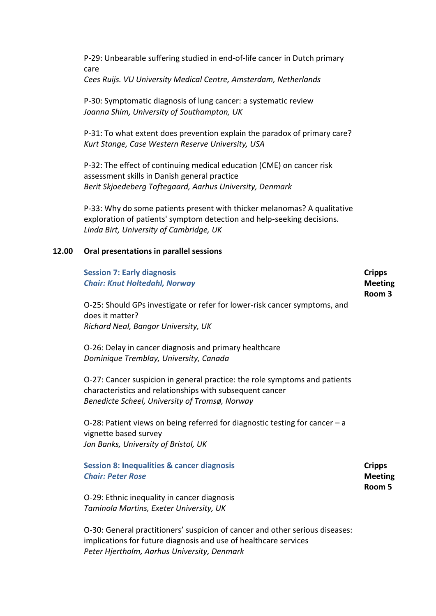P-29: Unbearable suffering studied in end-of-life cancer in Dutch primary care *Cees Ruijs. VU University Medical Centre, Amsterdam, Netherlands*

P-30: Symptomatic diagnosis of lung cancer: a systematic review *Joanna Shim, University of Southampton, UK*

P-31: To what extent does prevention explain the paradox of primary care? *Kurt Stange, Case Western Reserve University, USA*

P-32: The effect of continuing medical education (CME) on cancer risk assessment skills in Danish general practice *Berit Skjoedeberg Toftegaard, Aarhus University, Denmark*

P-33: Why do some patients present with thicker melanomas? A qualitative exploration of patients' symptom detection and help-seeking decisions. *Linda Birt, University of Cambridge, UK*

### **12.00 Oral presentations in parallel sessions**

| <b>Session 7: Early diagnosis</b><br><b>Chair: Knut Holtedahl, Norway</b>                                                                                                                | <b>Cripps</b><br><b>Meeting</b><br>Room 3 |
|------------------------------------------------------------------------------------------------------------------------------------------------------------------------------------------|-------------------------------------------|
| O-25: Should GPs investigate or refer for lower-risk cancer symptoms, and<br>does it matter?<br>Richard Neal, Bangor University, UK                                                      |                                           |
| O-26: Delay in cancer diagnosis and primary healthcare<br>Dominique Tremblay, University, Canada                                                                                         |                                           |
| O-27: Cancer suspicion in general practice: the role symptoms and patients<br>characteristics and relationships with subsequent cancer<br>Benedicte Scheel, University of Tromsø, Norway |                                           |
| O-28: Patient views on being referred for diagnostic testing for cancer $-a$<br>vignette based survey<br>Jon Banks, University of Bristol, UK                                            |                                           |
| <b>Session 8: Inequalities &amp; cancer diagnosis</b><br><b>Chair: Peter Rose</b>                                                                                                        | <b>Cripps</b><br><b>Meeting</b><br>Room 5 |

O-29: Ethnic inequality in cancer diagnosis *Taminola Martins, Exeter University, UK*

O-30: General practitioners' suspicion of cancer and other serious diseases: implications for future diagnosis and use of healthcare services *Peter Hjertholm, Aarhus University, Denmark*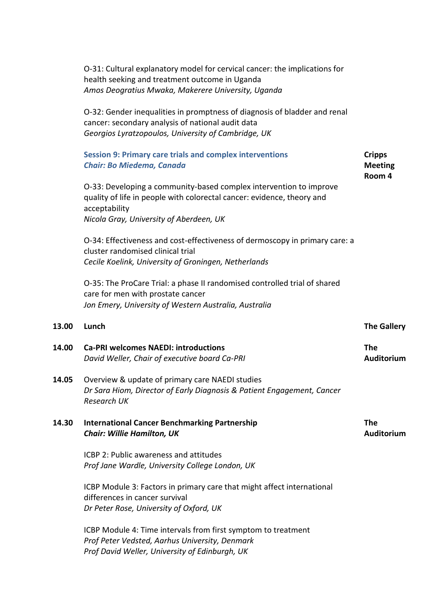| O-31: Cultural explanatory model for cervical cancer: the implications for |
|----------------------------------------------------------------------------|
| health seeking and treatment outcome in Uganda                             |
| Amos Deogratius Mwaka, Makerere University, Uganda                         |

O-32: Gender inequalities in promptness of diagnosis of bladder and renal cancer: secondary analysis of national audit data *Georgios Lyratzopoulos, University of Cambridge, UK*

### **Session 9: Primary care trials and complex interventions** *Chair: Bo Miedema, Canada* **Cripps Meeting Room 4**

O-33: Developing a community-based complex intervention to improve quality of life in people with colorectal cancer: evidence, theory and acceptability *Nicola Gray, University of Aberdeen, UK*

O-34: Effectiveness and cost-effectiveness of dermoscopy in primary care: a cluster randomised clinical trial *Cecile Koelink, University of Groningen, Netherlands*

O-35: The ProCare Trial: a phase II randomised controlled trial of shared care for men with prostate cancer *Jon Emery, University of Western Australia, Australia*

# **13.00 Lunch The Gallery**

**14.00 Ca-PRI welcomes NAEDI: introductions** *David Weller, Chair of executive board Ca-PRI*

### **14.05** Overview & update of primary care NAEDI studies *Dr Sara Hiom, Director of Early Diagnosis & Patient Engagement, Cancer Research UK*

### **14.30 International Cancer Benchmarking Partnership**  *Chair: Willie Hamilton, UK*

**The Auditorium**

**Auditorium**

**The** 

ICBP 2: Public awareness and attitudes *Prof Jane Wardle, University College London, UK*

ICBP Module 3: Factors in primary care that might affect international differences in cancer survival *Dr Peter Rose, University of Oxford, UK*

ICBP Module 4: Time intervals from first symptom to treatment *Prof Peter Vedsted, Aarhus University, Denmark Prof David Weller, University of Edinburgh, UK*